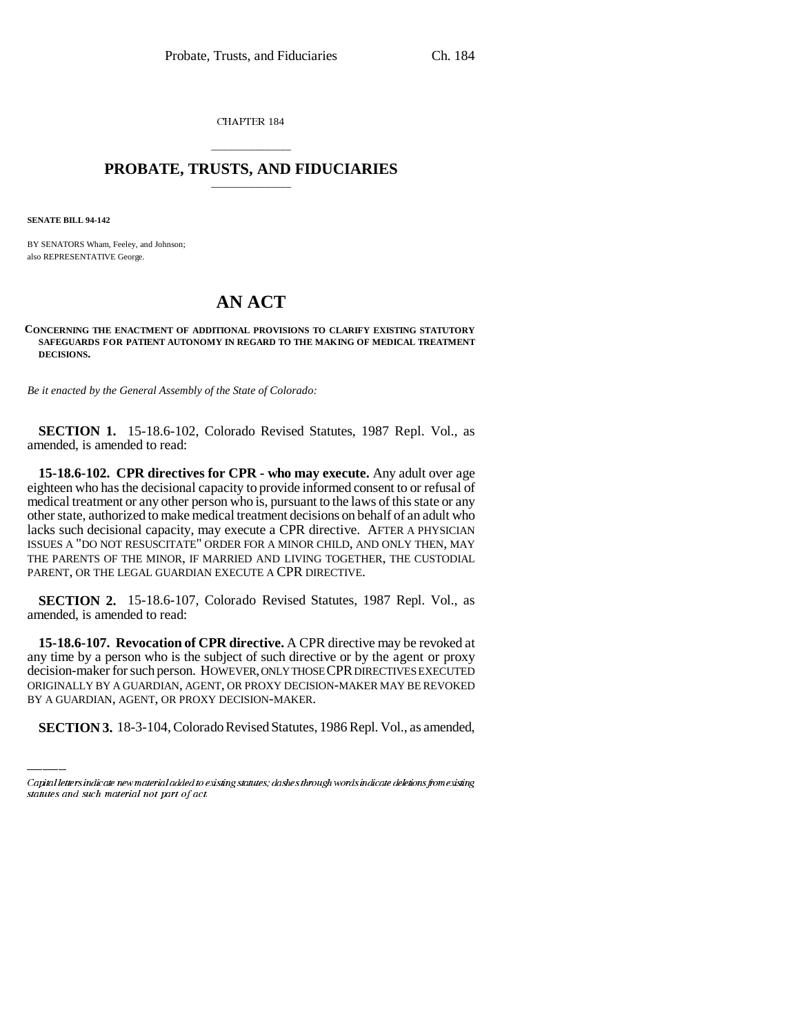CHAPTER 184

## \_\_\_\_\_\_\_\_\_\_\_\_\_\_\_ **PROBATE, TRUSTS, AND FIDUCIARIES** \_\_\_\_\_\_\_\_\_\_\_\_\_\_\_

**SENATE BILL 94-142**

BY SENATORS Wham, Feeley, and Johnson; also REPRESENTATIVE George.

## **AN ACT**

**CONCERNING THE ENACTMENT OF ADDITIONAL PROVISIONS TO CLARIFY EXISTING STATUTORY SAFEGUARDS FOR PATIENT AUTONOMY IN REGARD TO THE MAKING OF MEDICAL TREATMENT DECISIONS.**

*Be it enacted by the General Assembly of the State of Colorado:* 

**SECTION 1.** 15-18.6-102, Colorado Revised Statutes, 1987 Repl. Vol., as amended, is amended to read:

**15-18.6-102. CPR directives for CPR - who may execute.** Any adult over age eighteen who has the decisional capacity to provide informed consent to or refusal of medical treatment or any other person who is, pursuant to the laws of this state or any other state, authorized to make medical treatment decisions on behalf of an adult who lacks such decisional capacity, may execute a CPR directive. AFTER A PHYSICIAN ISSUES A "DO NOT RESUSCITATE" ORDER FOR A MINOR CHILD, AND ONLY THEN, MAY THE PARENTS OF THE MINOR, IF MARRIED AND LIVING TOGETHER, THE CUSTODIAL PARENT, OR THE LEGAL GUARDIAN EXECUTE A CPR DIRECTIVE.

**SECTION 2.** 15-18.6-107, Colorado Revised Statutes, 1987 Repl. Vol., as amended, is amended to read:

decision-maker for such person. HOWEVER, ONLY THOSE CPR DIRECTIVES EXECUTED **15-18.6-107. Revocation of CPR directive.** A CPR directive may be revoked at any time by a person who is the subject of such directive or by the agent or proxy ORIGINALLY BY A GUARDIAN, AGENT, OR PROXY DECISION-MAKER MAY BE REVOKED BY A GUARDIAN, AGENT, OR PROXY DECISION-MAKER.

**SECTION 3.** 18-3-104, Colorado Revised Statutes, 1986 Repl. Vol., as amended,

Capital letters indicate new material added to existing statutes; dashes through words indicate deletions from existing statutes and such material not part of act.